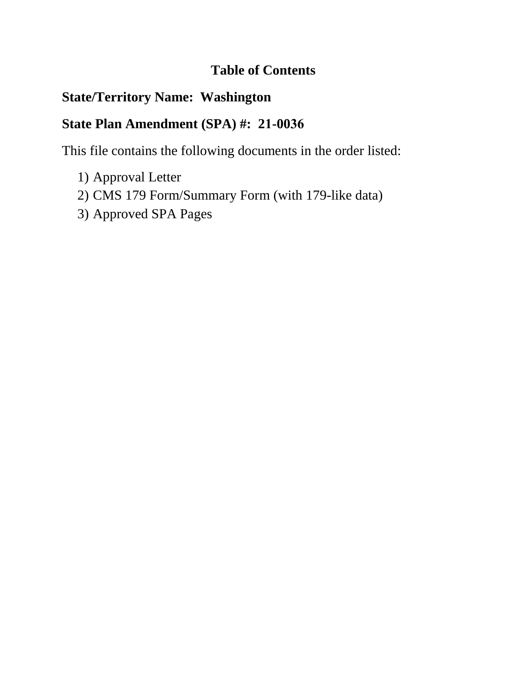# **Table of Contents**

# **State/Territory Name: Washington**

# **State Plan Amendment (SPA) #: 21-0036**

This file contains the following documents in the order listed:

- 1) Approval Letter
- 2) CMS 179 Form/Summary Form (with 179-like data)
- 3) Approved SPA Pages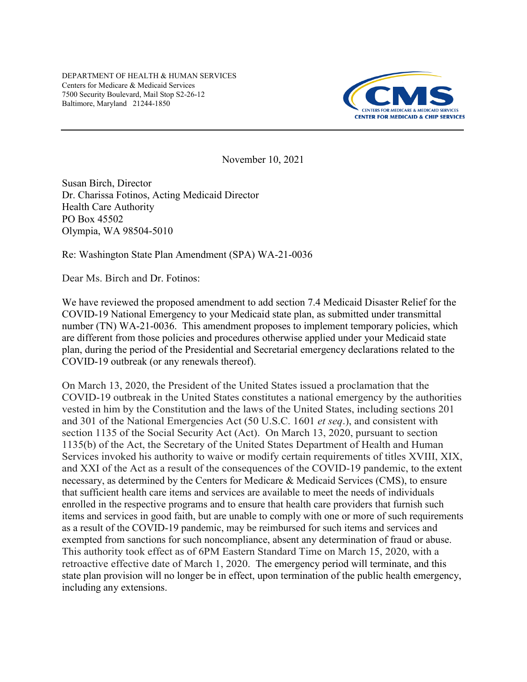DEPARTMENT OF HEALTH & HUMAN SERVICES Centers for Medicare & Medicaid Services 7500 Security Boulevard, Mail Stop S2-26-12 Baltimore, Maryland 21244-1850



November 10, 2021

Susan Birch, Director Dr. Charissa Fotinos, Acting Medicaid Director Health Care Authority PO Box 45502 Olympia, WA 98504-5010

Re: Washington State Plan Amendment (SPA) WA-21-0036

Dear Ms. Birch and Dr. Fotinos:

We have reviewed the proposed amendment to add section 7.4 Medicaid Disaster Relief for the COVID-19 National Emergency to your Medicaid state plan, as submitted under transmittal number (TN) WA-21-0036. This amendment proposes to implement temporary policies, which are different from those policies and procedures otherwise applied under your Medicaid state plan, during the period of the Presidential and Secretarial emergency declarations related to the COVID-19 outbreak (or any renewals thereof).

On March 13, 2020, the President of the United States issued a proclamation that the COVID-19 outbreak in the United States constitutes a national emergency by the authorities vested in him by the Constitution and the laws of the United States, including sections 201 and 301 of the National Emergencies Act (50 U.S.C. 1601 *et seq*.), and consistent with section 1135 of the Social Security Act (Act). On March 13, 2020, pursuant to section 1135(b) of the Act, the Secretary of the United States Department of Health and Human Services invoked his authority to waive or modify certain requirements of titles XVIII, XIX, and XXI of the Act as a result of the consequences of the COVID-19 pandemic, to the extent necessary, as determined by the Centers for Medicare & Medicaid Services (CMS), to ensure that sufficient health care items and services are available to meet the needs of individuals enrolled in the respective programs and to ensure that health care providers that furnish such items and services in good faith, but are unable to comply with one or more of such requirements as a result of the COVID-19 pandemic, may be reimbursed for such items and services and exempted from sanctions for such noncompliance, absent any determination of fraud or abuse. This authority took effect as of 6PM Eastern Standard Time on March 15, 2020, with a retroactive effective date of March 1, 2020. The emergency period will terminate, and this state plan provision will no longer be in effect, upon termination of the public health emergency, including any extensions.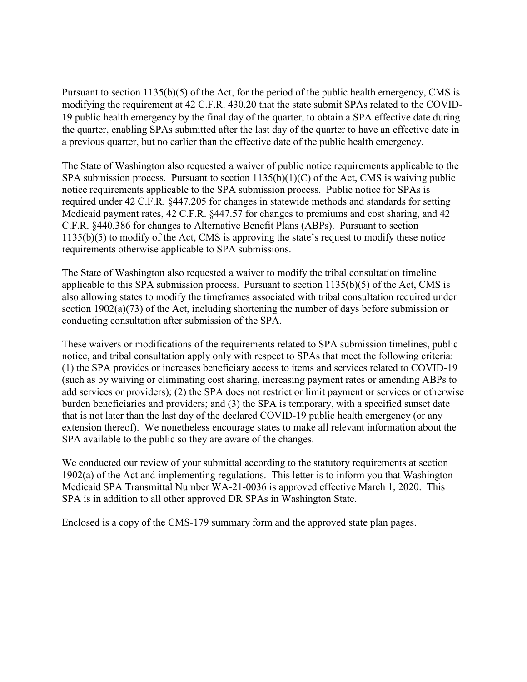Pursuant to section 1135(b)(5) of the Act, for the period of the public health emergency, CMS is modifying the requirement at 42 C.F.R. 430.20 that the state submit SPAs related to the COVID-19 public health emergency by the final day of the quarter, to obtain a SPA effective date during the quarter, enabling SPAs submitted after the last day of the quarter to have an effective date in a previous quarter, but no earlier than the effective date of the public health emergency.

The State of Washington also requested a waiver of public notice requirements applicable to the SPA submission process. Pursuant to section  $1135(b)(1)(C)$  of the Act, CMS is waiving public notice requirements applicable to the SPA submission process. Public notice for SPAs is required under 42 C.F.R. §447.205 for changes in statewide methods and standards for setting Medicaid payment rates, 42 C.F.R. §447.57 for changes to premiums and cost sharing, and 42 C.F.R. §440.386 for changes to Alternative Benefit Plans (ABPs). Pursuant to section 1135(b)(5) to modify of the Act, CMS is approving the state's request to modify these notice requirements otherwise applicable to SPA submissions.

The State of Washington also requested a waiver to modify the tribal consultation timeline applicable to this SPA submission process. Pursuant to section 1135(b)(5) of the Act, CMS is also allowing states to modify the timeframes associated with tribal consultation required under section 1902(a)(73) of the Act, including shortening the number of days before submission or conducting consultation after submission of the SPA.

These waivers or modifications of the requirements related to SPA submission timelines, public notice, and tribal consultation apply only with respect to SPAs that meet the following criteria: (1) the SPA provides or increases beneficiary access to items and services related to COVID-19 (such as by waiving or eliminating cost sharing, increasing payment rates or amending ABPs to add services or providers); (2) the SPA does not restrict or limit payment or services or otherwise burden beneficiaries and providers; and (3) the SPA is temporary, with a specified sunset date that is not later than the last day of the declared COVID-19 public health emergency (or any extension thereof). We nonetheless encourage states to make all relevant information about the SPA available to the public so they are aware of the changes.

We conducted our review of your submittal according to the statutory requirements at section 1902(a) of the Act and implementing regulations. This letter is to inform you that Washington Medicaid SPA Transmittal Number WA-21-0036 is approved effective March 1, 2020. This SPA is in addition to all other approved DR SPAs in Washington State.

Enclosed is a copy of the CMS-179 summary form and the approved state plan pages.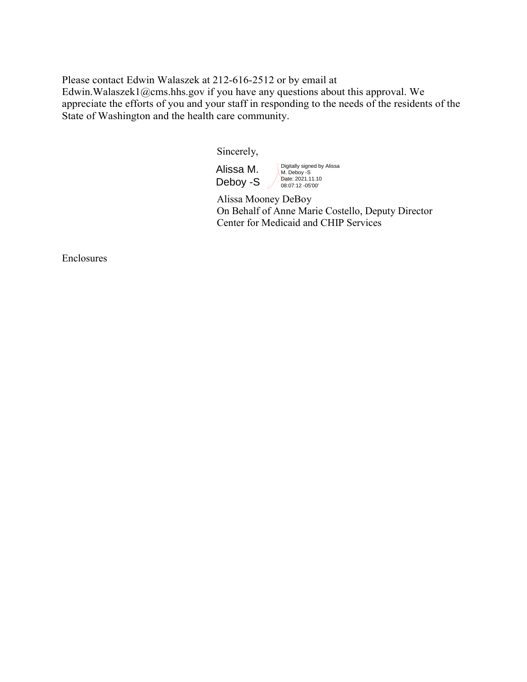Please contact Edwin Walaszek at 212-616-2512 or by email at Edwin.Walaszek1@cms.hhs.gov if you have any questions about this approval. We appreciate the efforts of you and your staff in responding to the needs of the residents of the State of Washington and the health care community.

Sincerely,

Alissa M. Deboy -S Digitally signed by Alissa M. Deboy -S<br>Date: 2021.11.10<br>08:07:12 -05'00'

 Alissa Mooney DeBoy On Behalf of Anne Marie Costello, Deputy Director Center for Medicaid and CHIP Services

Enclosures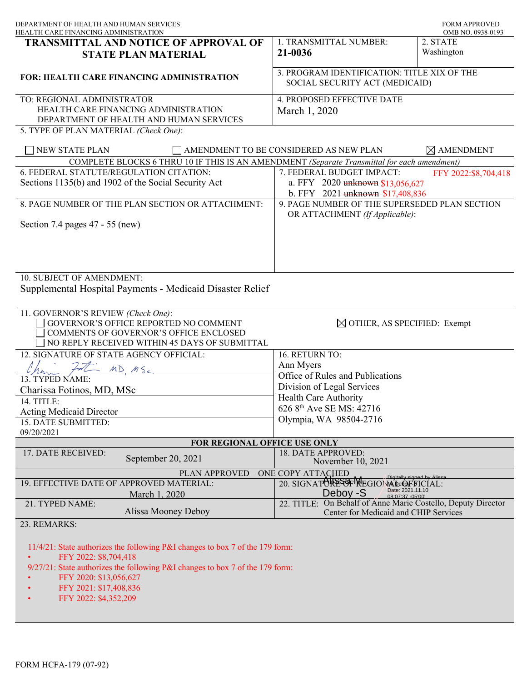| DEPARTMENT OF HEALTH AND HUMAN SERVICES                                                                                                                                                                           |                                                                                                       | <b>FORM APPROVED</b><br>OMB NO. 0938-0193 |
|-------------------------------------------------------------------------------------------------------------------------------------------------------------------------------------------------------------------|-------------------------------------------------------------------------------------------------------|-------------------------------------------|
| HEALTH CARE FINANCING ADMINISTRATION<br>TRANSMITTAL AND NOTICE OF APPROVAL OF                                                                                                                                     | 1. TRANSMITTAL NUMBER:                                                                                | 2. STATE                                  |
| <b>STATE PLAN MATERIAL</b>                                                                                                                                                                                        | 21-0036                                                                                               | Washington                                |
| <b>FOR: HEALTH CARE FINANCING ADMINISTRATION</b>                                                                                                                                                                  | 3. PROGRAM IDENTIFICATION: TITLE XIX OF THE<br>SOCIAL SECURITY ACT (MEDICAID)                         |                                           |
| TO: REGIONAL ADMINISTRATOR<br>HEALTH CARE FINANCING ADMINISTRATION<br>DEPARTMENT OF HEALTH AND HUMAN SERVICES                                                                                                     | 4. PROPOSED EFFECTIVE DATE<br>March 1, 2020                                                           |                                           |
| 5. TYPE OF PLAN MATERIAL (Check One):                                                                                                                                                                             |                                                                                                       |                                           |
| NEW STATE PLAN                                                                                                                                                                                                    | AMENDMENT TO BE CONSIDERED AS NEW PLAN                                                                | $\boxtimes$ AMENDMENT                     |
| COMPLETE BLOCKS 6 THRU 10 IF THIS IS AN AMENDMENT (Separate Transmittal for each amendment)                                                                                                                       |                                                                                                       |                                           |
| 6. FEDERAL STATUTE/REGULATION CITATION:<br>Sections 1135(b) and 1902 of the Social Security Act                                                                                                                   | 7. FEDERAL BUDGET IMPACT:<br>a. FFY 2020 unknown \$13,056,627<br>b. FFY 2021 unknown \$17,408,836     | FFY 2022:\$8,704,418                      |
| 8. PAGE NUMBER OF THE PLAN SECTION OR ATTACHMENT:                                                                                                                                                                 | 9. PAGE NUMBER OF THE SUPERSEDED PLAN SECTION<br>OR ATTACHMENT (If Applicable):                       |                                           |
| Section 7.4 pages 47 - 55 (new)                                                                                                                                                                                   |                                                                                                       |                                           |
| 10. SUBJECT OF AMENDMENT:<br>Supplemental Hospital Payments - Medicaid Disaster Relief                                                                                                                            |                                                                                                       |                                           |
| 11. GOVERNOR'S REVIEW (Check One):<br>GOVERNOR'S OFFICE REPORTED NO COMMENT<br>COMMENTS OF GOVERNOR'S OFFICE ENCLOSED<br>NO REPLY RECEIVED WITHIN 45 DAYS OF SUBMITTAL                                            | $\boxtimes$ OTHER, AS SPECIFIED: Exempt                                                               |                                           |
| 12. SIGNATURE OF STATE AGENCY OFFICIAL:                                                                                                                                                                           | 16. RETURN TO:                                                                                        |                                           |
| $MDMS_c$                                                                                                                                                                                                          | Ann Myers                                                                                             |                                           |
| 13. TYPED NAME:                                                                                                                                                                                                   | Office of Rules and Publications                                                                      |                                           |
| Charissa Fotinos, MD, MSc                                                                                                                                                                                         | Division of Legal Services                                                                            |                                           |
| 14. TITLE:                                                                                                                                                                                                        | <b>Health Care Authority</b>                                                                          |                                           |
| <b>Acting Medicaid Director</b>                                                                                                                                                                                   | 626 8th Ave SE MS: 42716                                                                              |                                           |
| 15. DATE SUBMITTED:                                                                                                                                                                                               | Olympia, WA 98504-2716                                                                                |                                           |
| 09/20/2021                                                                                                                                                                                                        |                                                                                                       |                                           |
| FOR REGIONAL OFFICE USE ONLY                                                                                                                                                                                      |                                                                                                       |                                           |
| 17. DATE RECEIVED:<br>September 20, 2021                                                                                                                                                                          | 18. DATE APPROVED:<br>November 10, 2021                                                               |                                           |
| PLAN APPROVED - ONE COPY ATTACHED                                                                                                                                                                                 |                                                                                                       |                                           |
| 19. EFFECTIVE DATE OF APPROVED MATERIAL:<br>March 1, 2020                                                                                                                                                         | 20. SIGNATORESOF MEGIONAL De LOFFICIAL:<br>Date: 2021.11.10<br>Deboy -S<br>08:07:37 -05'00'           |                                           |
| 21. TYPED NAME:<br>Alissa Mooney Deboy                                                                                                                                                                            | 22. TITLE: On Behalf of Anne Marie Costello, Deputy Director<br>Center for Medicaid and CHIP Services |                                           |
| 23. REMARKS:                                                                                                                                                                                                      |                                                                                                       |                                           |
| 11/4/21: State authorizes the following P&I changes to box 7 of the 179 form:<br>FFY 2022: \$8,704,418<br>9/27/21: State authorizes the following P&I changes to box 7 of the 179 form:<br>FFY 2020: \$13,056,627 |                                                                                                       |                                           |
| FFY 2021: \$17,408,836<br>FFY 2022: \$4,352,209                                                                                                                                                                   |                                                                                                       |                                           |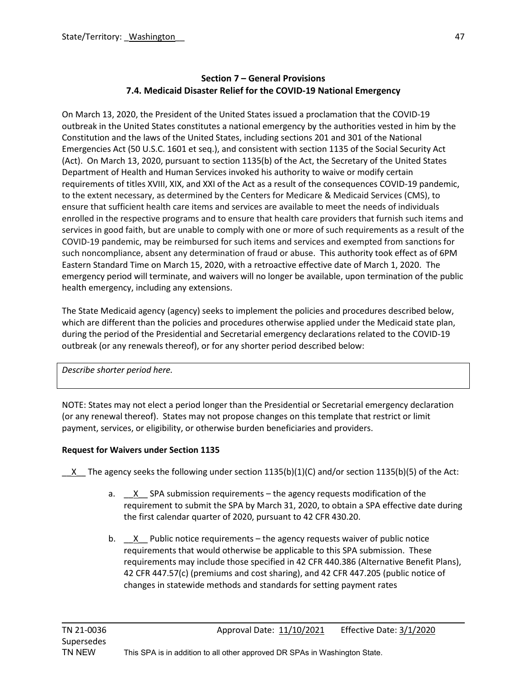### **Section 7 – General Provisions 7.4. Medicaid Disaster Relief for the COVID-19 National Emergency**

On March 13, 2020, the President of the United States issued a proclamation that the COVID-19 outbreak in the United States constitutes a national emergency by the authorities vested in him by the Constitution and the laws of the United States, including sections 201 and 301 of the National Emergencies Act (50 U.S.C. 1601 et seq.), and consistent with section 1135 of the Social Security Act (Act). On March 13, 2020, pursuant to section 1135(b) of the Act, the Secretary of the United States Department of Health and Human Services invoked his authority to waive or modify certain requirements of titles XVIII, XIX, and XXI of the Act as a result of the consequences COVID-19 pandemic, to the extent necessary, as determined by the Centers for Medicare & Medicaid Services (CMS), to ensure that sufficient health care items and services are available to meet the needs of individuals enrolled in the respective programs and to ensure that health care providers that furnish such items and services in good faith, but are unable to comply with one or more of such requirements as a result of the COVID-19 pandemic, may be reimbursed for such items and services and exempted from sanctions for such noncompliance, absent any determination of fraud or abuse. This authority took effect as of 6PM Eastern Standard Time on March 15, 2020, with a retroactive effective date of March 1, 2020. The emergency period will terminate, and waivers will no longer be available, upon termination of the public health emergency, including any extensions.

The State Medicaid agency (agency) seeks to implement the policies and procedures described below, which are different than the policies and procedures otherwise applied under the Medicaid state plan, during the period of the Presidential and Secretarial emergency declarations related to the COVID-19 outbreak (or any renewals thereof), or for any shorter period described below:

*Describe shorter period here.*

NOTE: States may not elect a period longer than the Presidential or Secretarial emergency declaration (or any renewal thereof). States may not propose changes on this template that restrict or limit payment, services, or eligibility, or otherwise burden beneficiaries and providers.

## **Request for Waivers under Section 1135**

X The agency seeks the following under section 1135(b)(1)(C) and/or section 1135(b)(5) of the Act:

- a. X SPA submission requirements the agency requests modification of the requirement to submit the SPA by March 31, 2020, to obtain a SPA effective date during the first calendar quarter of 2020, pursuant to 42 CFR 430.20.
- b.  $X$  Public notice requirements the agency requests waiver of public notice requirements that would otherwise be applicable to this SPA submission. These requirements may include those specified in 42 CFR 440.386 (Alternative Benefit Plans), 42 CFR 447.57(c) (premiums and cost sharing), and 42 CFR 447.205 (public notice of changes in statewide methods and standards for setting payment rates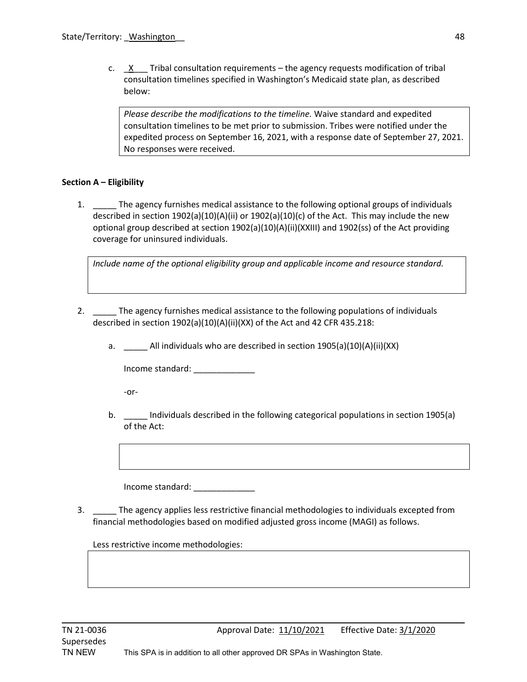c.  $X$  Tribal consultation requirements – the agency requests modification of tribal consultation timelines specified in Washington's Medicaid state plan, as described below:

*Please describe the modifications to the timeline.* Waive standard and expedited consultation timelines to be met prior to submission. Tribes were notified under the expedited process on September 16, 2021, with a response date of September 27, 2021. No responses were received.

#### **Section A – Eligibility**

1. The agency furnishes medical assistance to the following optional groups of individuals described in section 1902(a)(10)(A)(ii) or 1902(a)(10)(c) of the Act. This may include the new optional group described at section 1902(a)(10)(A)(ii)(XXIII) and 1902(ss) of the Act providing coverage for uninsured individuals.

*Include name of the optional eligibility group and applicable income and resource standard.*

- 2. The agency furnishes medical assistance to the following populations of individuals described in section 1902(a)(10)(A)(ii)(XX) of the Act and 42 CFR 435.218:
	- a. \_\_\_\_\_ All individuals who are described in section 1905(a)(10)(A)(ii)(XX)

Income standard: \_\_\_\_\_\_\_\_\_\_\_\_\_

-or-

b. **Individuals described in the following categorical populations in section 1905(a)** of the Act:

Income standard: \_\_\_\_\_\_\_\_\_\_\_\_\_

3. \_\_\_\_\_ The agency applies less restrictive financial methodologies to individuals excepted from financial methodologies based on modified adjusted gross income (MAGI) as follows.

Less restrictive income methodologies: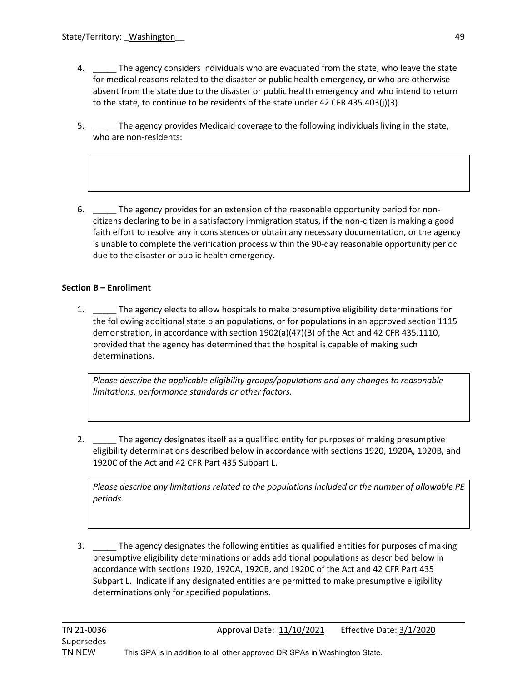- 4. \_\_\_\_\_ The agency considers individuals who are evacuated from the state, who leave the state for medical reasons related to the disaster or public health emergency, or who are otherwise absent from the state due to the disaster or public health emergency and who intend to return to the state, to continue to be residents of the state under 42 CFR 435.403(j)(3).
- 5. \_\_\_\_\_ The agency provides Medicaid coverage to the following individuals living in the state, who are non-residents:
- 6. \_\_\_\_\_ The agency provides for an extension of the reasonable opportunity period for noncitizens declaring to be in a satisfactory immigration status, if the non-citizen is making a good faith effort to resolve any inconsistences or obtain any necessary documentation, or the agency is unable to complete the verification process within the 90-day reasonable opportunity period due to the disaster or public health emergency.

### **Section B – Enrollment**

1. \_\_\_\_\_ The agency elects to allow hospitals to make presumptive eligibility determinations for the following additional state plan populations, or for populations in an approved section 1115 demonstration, in accordance with section 1902(a)(47)(B) of the Act and 42 CFR 435.1110, provided that the agency has determined that the hospital is capable of making such determinations.

*Please describe the applicable eligibility groups/populations and any changes to reasonable limitations, performance standards or other factors.*

2. \_\_\_\_\_ The agency designates itself as a qualified entity for purposes of making presumptive eligibility determinations described below in accordance with sections 1920, 1920A, 1920B, and 1920C of the Act and 42 CFR Part 435 Subpart L.

*Please describe any limitations related to the populations included or the number of allowable PE periods.*

3. \_\_\_\_\_ The agency designates the following entities as qualified entities for purposes of making presumptive eligibility determinations or adds additional populations as described below in accordance with sections 1920, 1920A, 1920B, and 1920C of the Act and 42 CFR Part 435 Subpart L. Indicate if any designated entities are permitted to make presumptive eligibility determinations only for specified populations.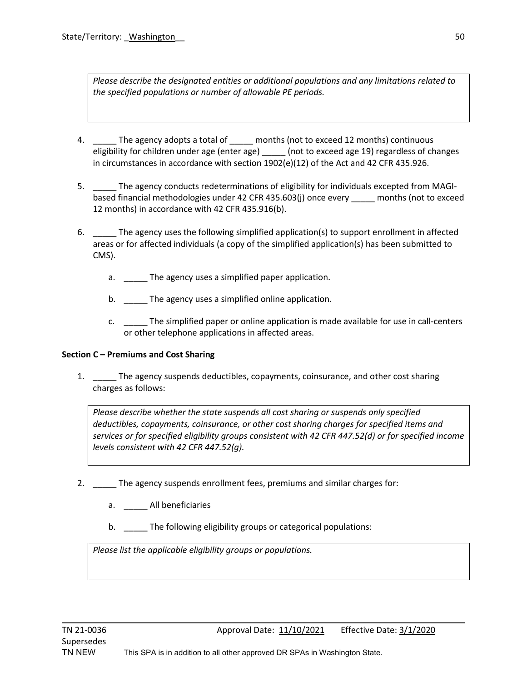*Please describe the designated entities or additional populations and any limitations related to the specified populations or number of allowable PE periods.*

- 4. The agency adopts a total of months (not to exceed 12 months) continuous eligibility for children under age (enter age) \_\_\_\_\_\_ (not to exceed age 19) regardless of changes in circumstances in accordance with section 1902(e)(12) of the Act and 42 CFR 435.926.
- 5. \_\_\_\_\_ The agency conducts redeterminations of eligibility for individuals excepted from MAGIbased financial methodologies under 42 CFR 435.603(j) once every \_\_\_\_\_ months (not to exceed 12 months) in accordance with 42 CFR 435.916(b).
- 6. The agency uses the following simplified application(s) to support enrollment in affected areas or for affected individuals (a copy of the simplified application(s) has been submitted to CMS).
	- a. \_\_\_\_\_\_ The agency uses a simplified paper application.
	- b. The agency uses a simplified online application.
	- c. \_\_\_\_\_ The simplified paper or online application is made available for use in call-centers or other telephone applications in affected areas.

#### **Section C – Premiums and Cost Sharing**

1. \_\_\_\_\_ The agency suspends deductibles, copayments, coinsurance, and other cost sharing charges as follows:

*Please describe whether the state suspends all cost sharing or suspends only specified deductibles, copayments, coinsurance, or other cost sharing charges for specified items and services or for specified eligibility groups consistent with 42 CFR 447.52(d) or for specified income levels consistent with 42 CFR 447.52(g).*

- 2. \_\_\_\_\_ The agency suspends enrollment fees, premiums and similar charges for:
	- a. \_\_\_\_\_ All beneficiaries
	- b. \_\_\_\_\_ The following eligibility groups or categorical populations:

*Please list the applicable eligibility groups or populations.*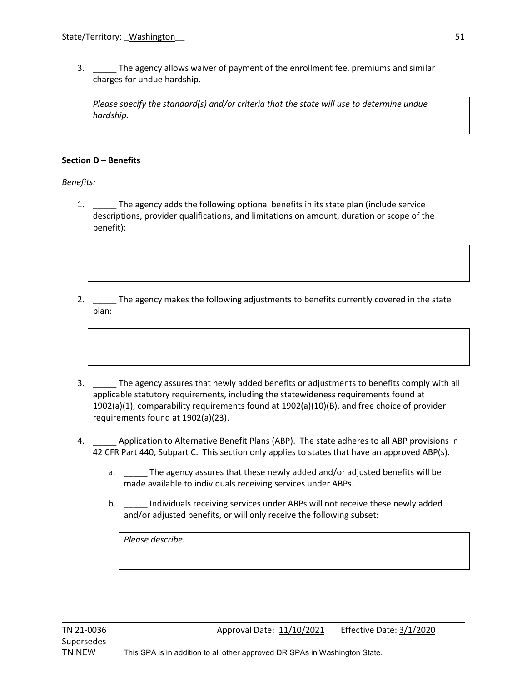3. \_\_\_\_\_ The agency allows waiver of payment of the enrollment fee, premiums and similar charges for undue hardship.

*Please specify the standard(s) and/or criteria that the state will use to determine undue hardship.* 

#### **Section D – Benefits**

*Benefits:*

- 1. The agency adds the following optional benefits in its state plan (include service descriptions, provider qualifications, and limitations on amount, duration or scope of the benefit):
- 2. The agency makes the following adjustments to benefits currently covered in the state plan:
- 3. \_\_\_\_\_ The agency assures that newly added benefits or adjustments to benefits comply with all applicable statutory requirements, including the statewideness requirements found at 1902(a)(1), comparability requirements found at 1902(a)(10)(B), and free choice of provider requirements found at 1902(a)(23).
- 4. \_\_\_\_\_ Application to Alternative Benefit Plans (ABP). The state adheres to all ABP provisions in 42 CFR Part 440, Subpart C. This section only applies to states that have an approved ABP(s).
	- a. \_\_\_\_\_ The agency assures that these newly added and/or adjusted benefits will be made available to individuals receiving services under ABPs.
	- b. \_\_\_\_\_ Individuals receiving services under ABPs will not receive these newly added and/or adjusted benefits, or will only receive the following subset:

*Please describe.*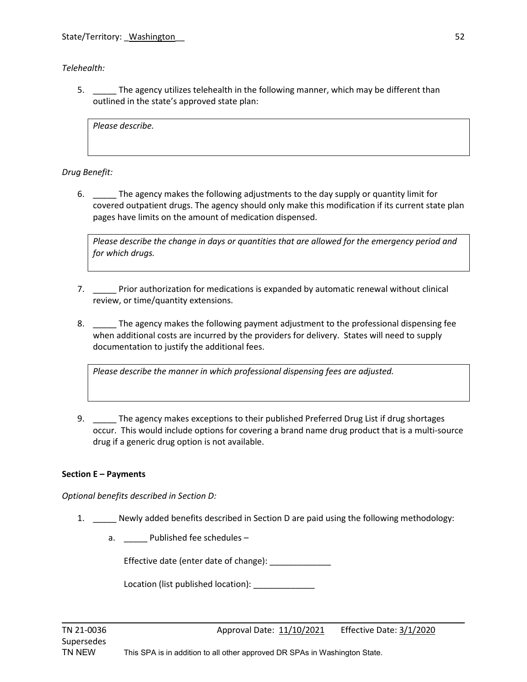*Telehealth:*

5. \_\_\_\_\_ The agency utilizes telehealth in the following manner, which may be different than outlined in the state's approved state plan:

*Please describe.*

*Drug Benefit:*

6. \_\_\_\_\_ The agency makes the following adjustments to the day supply or quantity limit for covered outpatient drugs. The agency should only make this modification if its current state plan pages have limits on the amount of medication dispensed.

*Please describe the change in days or quantities that are allowed for the emergency period and for which drugs.* 

- 7. \_\_\_\_\_ Prior authorization for medications is expanded by automatic renewal without clinical review, or time/quantity extensions.
- 8. \_\_\_\_\_ The agency makes the following payment adjustment to the professional dispensing fee when additional costs are incurred by the providers for delivery. States will need to supply documentation to justify the additional fees.

*Please describe the manner in which professional dispensing fees are adjusted.*

9. The agency makes exceptions to their published Preferred Drug List if drug shortages occur. This would include options for covering a brand name drug product that is a multi-source drug if a generic drug option is not available.

## **Section E – Payments**

*Optional benefits described in Section D:*

- 1. Newly added benefits described in Section D are paid using the following methodology:
	- a. \_\_\_\_\_\_ Published fee schedules –

Effective date (enter date of change): \_\_\_\_\_\_\_\_\_\_\_\_\_

Location (list published location):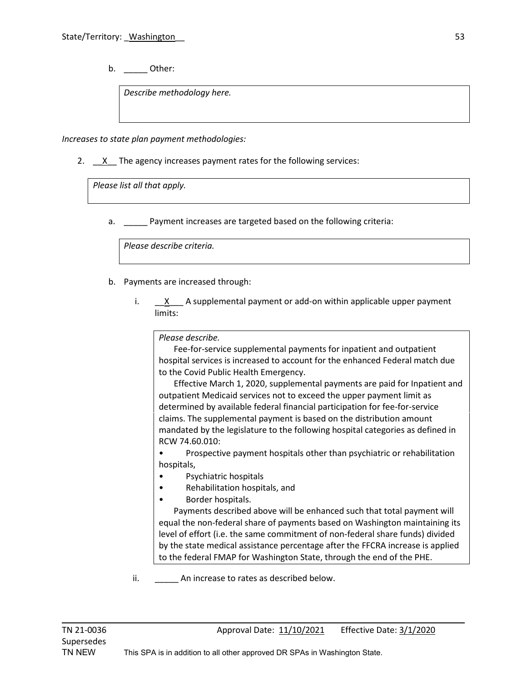b. \_\_\_\_\_\_ Other:

*Describe methodology here.*

*Increases to state plan payment methodologies:*

2.  $X$  The agency increases payment rates for the following services:

*Please list all that apply.*

a. \_\_\_\_\_ Payment increases are targeted based on the following criteria:

*Please describe criteria.*

- b. Payments are increased through:
	- i.  $\underline{\quad}X$   $\underline{\quad}$  A supplemental payment or add-on within applicable upper payment limits:

*Please describe.*

 Fee-for-service supplemental payments for inpatient and outpatient hospital services is increased to account for the enhanced Federal match due to the Covid Public Health Emergency.

 Effective March 1, 2020, supplemental payments are paid for Inpatient and outpatient Medicaid services not to exceed the upper payment limit as determined by available federal financial participation for fee-for-service claims. The supplemental payment is based on the distribution amount mandated by the legislature to the following hospital categories as defined in RCW 74.60.010:

• Prospective payment hospitals other than psychiatric or rehabilitation hospitals,

- Psychiatric hospitals
- Rehabilitation hospitals, and
- Border hospitals.

 Payments described above will be enhanced such that total payment will equal the non-federal share of payments based on Washington maintaining its level of effort (i.e. the same commitment of non-federal share funds) divided by the state medical assistance percentage after the FFCRA increase is applied to the federal FMAP for Washington State, through the end of the PHE.

ii. An increase to rates as described below.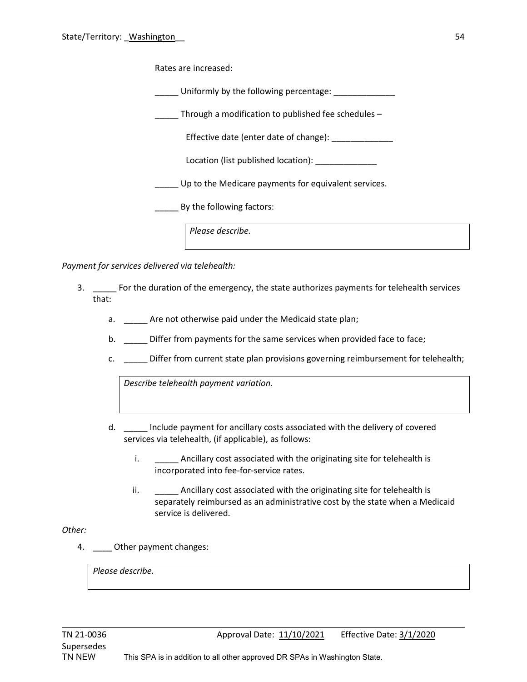Rates are increased:

\_\_\_\_\_ Uniformly by the following percentage: \_\_\_\_\_\_\_\_\_\_\_\_\_

Through a modification to published fee schedules  $-$ 

Effective date (enter date of change): \_\_\_\_\_\_\_\_\_\_\_\_\_

Location (list published location): \_\_\_\_\_\_\_\_\_\_\_\_\_

\_\_\_\_\_ Up to the Medicare payments for equivalent services.

\_\_\_\_\_ By the following factors:

*Please describe.*

*Payment for services delivered via telehealth:*

- 3. \_\_\_\_\_ For the duration of the emergency, the state authorizes payments for telehealth services that:
	- a. \_\_\_\_\_\_ Are not otherwise paid under the Medicaid state plan;
	- b. \_\_\_\_\_ Differ from payments for the same services when provided face to face;
	- c. **EXECT:** Differ from current state plan provisions governing reimbursement for telehealth;

*Describe telehealth payment variation.*

- d. \_\_\_\_\_ Include payment for ancillary costs associated with the delivery of covered services via telehealth, (if applicable), as follows:
	- i. \_\_\_\_\_\_\_\_ Ancillary cost associated with the originating site for telehealth is incorporated into fee-for-service rates.
	- ii. \_\_\_\_\_\_\_\_ Ancillary cost associated with the originating site for telehealth is separately reimbursed as an administrative cost by the state when a Medicaid service is delivered.

#### *Other:*

4. Other payment changes:

*Please describe.*